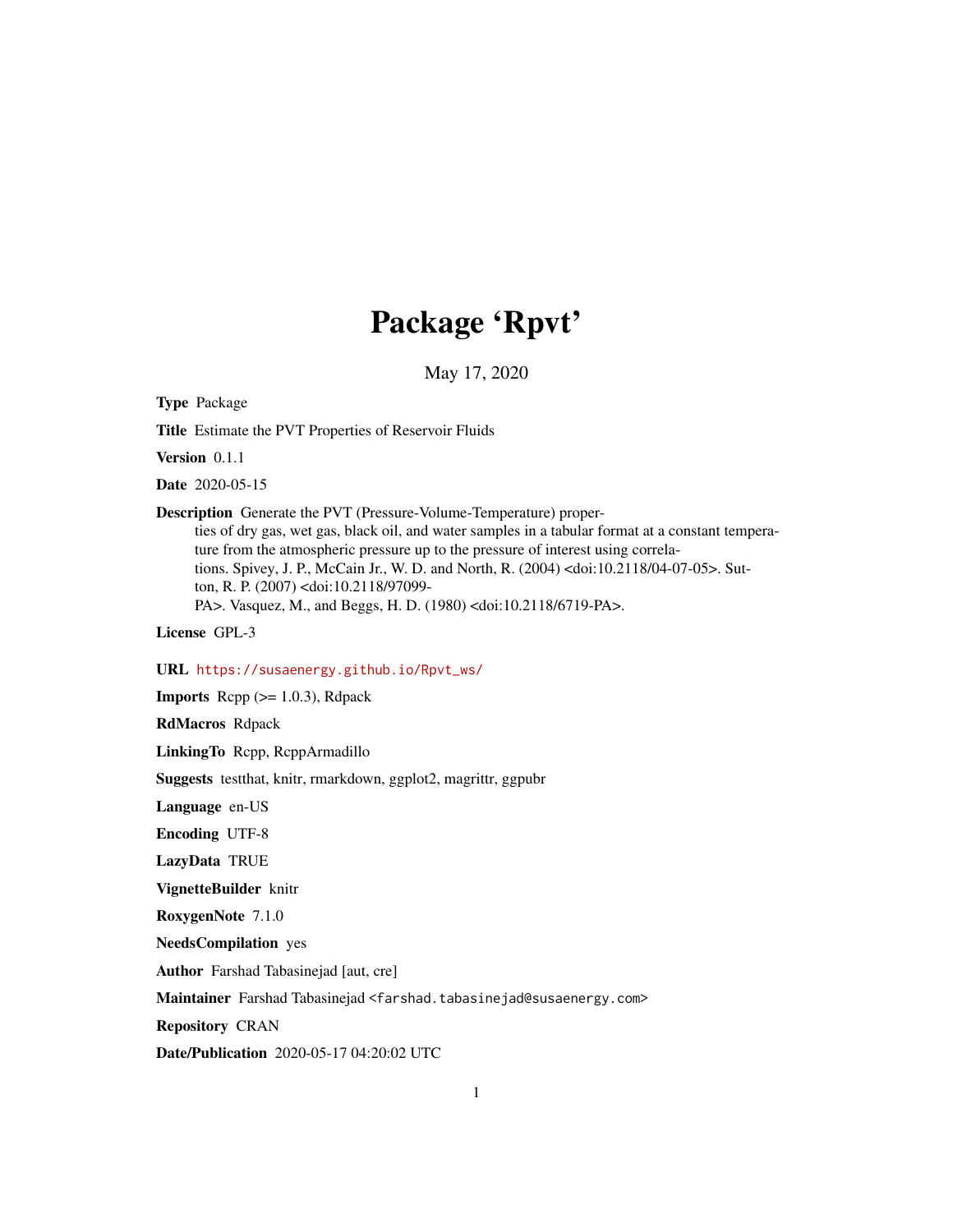## Package 'Rpvt'

May 17, 2020

Type Package

Title Estimate the PVT Properties of Reservoir Fluids

Version 0.1.1

Date 2020-05-15

Description Generate the PVT (Pressure-Volume-Temperature) properties of dry gas, wet gas, black oil, and water samples in a tabular format at a constant temperature from the atmospheric pressure up to the pressure of interest using correlations. Spivey, J. P., McCain Jr., W. D. and North, R. (2004) <doi:10.2118/04-07-05>. Sutton, R. P. (2007) <doi:10.2118/97099- PA>. Vasquez, M., and Beggs, H. D. (1980) <doi:10.2118/6719-PA>.

License GPL-3

URL [https://susaenergy.github.io/Rpvt\\_ws/](https://susaenergy.github.io/Rpvt_ws/)

**Imports** Rcpp  $(>= 1.0.3)$ , Rdpack

RdMacros Rdpack

LinkingTo Rcpp, RcppArmadillo

Suggests testthat, knitr, rmarkdown, ggplot2, magrittr, ggpubr

Language en-US

Encoding UTF-8

LazyData TRUE

VignetteBuilder knitr

RoxygenNote 7.1.0

NeedsCompilation yes

Author Farshad Tabasinejad [aut, cre]

Maintainer Farshad Tabasinejad <farshad.tabasinejad@susaenergy.com>

Repository CRAN

Date/Publication 2020-05-17 04:20:02 UTC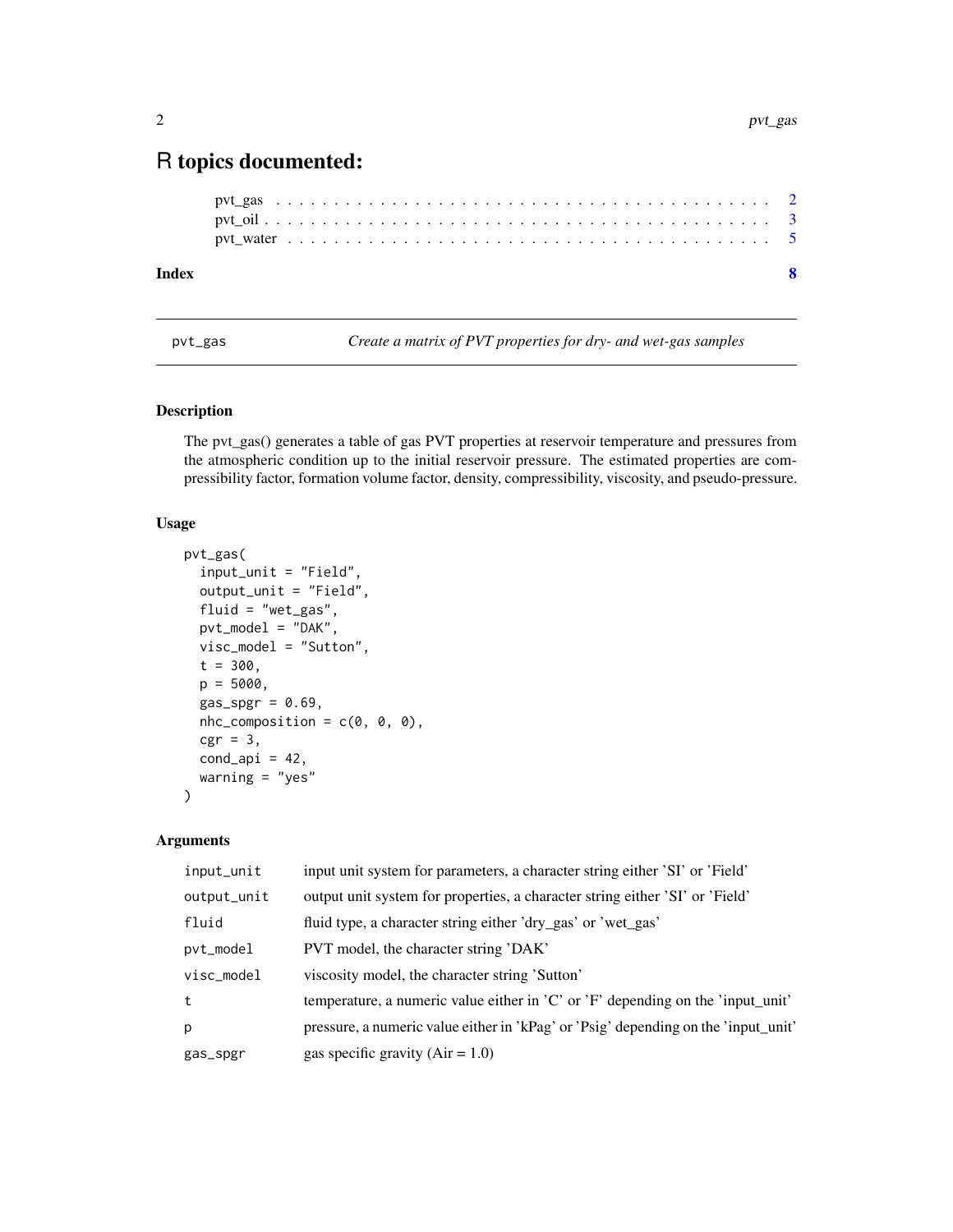### <span id="page-1-0"></span>R topics documented:

| Index |  |  |  |  |  |  |  |  |  |  |  |  |  |  |  |  |  |  |  |  |  |  |
|-------|--|--|--|--|--|--|--|--|--|--|--|--|--|--|--|--|--|--|--|--|--|--|
|       |  |  |  |  |  |  |  |  |  |  |  |  |  |  |  |  |  |  |  |  |  |  |
|       |  |  |  |  |  |  |  |  |  |  |  |  |  |  |  |  |  |  |  |  |  |  |
|       |  |  |  |  |  |  |  |  |  |  |  |  |  |  |  |  |  |  |  |  |  |  |

pvt\_gas *Create a matrix of PVT properties for dry- and wet-gas samples*

#### Description

The pvt\_gas() generates a table of gas PVT properties at reservoir temperature and pressures from the atmospheric condition up to the initial reservoir pressure. The estimated properties are compressibility factor, formation volume factor, density, compressibility, viscosity, and pseudo-pressure.

#### Usage

```
pvt_gas(
  input_unit = "Field",
  output_unit = "Field",
  fluid = "wet_gas",
  pvt_model = "DAK",
  visc_model = "Sutton",
  t = 300,p = 5000,gas\_spgr = 0.69,
  nhc_{\text{r}} composition = c(\emptyset, \emptyset, \emptyset),
  cgr = 3,
  cond<sub>-api</sub> = 42,
  warning = "yes"
\mathcal{E}
```
#### Arguments

| input_unit  | input unit system for parameters, a character string either 'SI' or 'Field'                           |
|-------------|-------------------------------------------------------------------------------------------------------|
| output_unit | output unit system for properties, a character string either 'SI' or 'Field'                          |
| fluid       | fluid type, a character string either 'dry_gas' or 'wet_gas'                                          |
| pvt_model   | PVT model, the character string 'DAK'                                                                 |
| visc_model  | viscosity model, the character string 'Sutton'                                                        |
| t           | temperature, a numeric value either in $^{\prime}$ C' or $^{\prime}$ F' depending on the 'input_unit' |
| p           | pressure, a numeric value either in 'kPag' or 'Psig' depending on the 'input_unit'                    |
| gas_spgr    | gas specific gravity $(Air = 1.0)$                                                                    |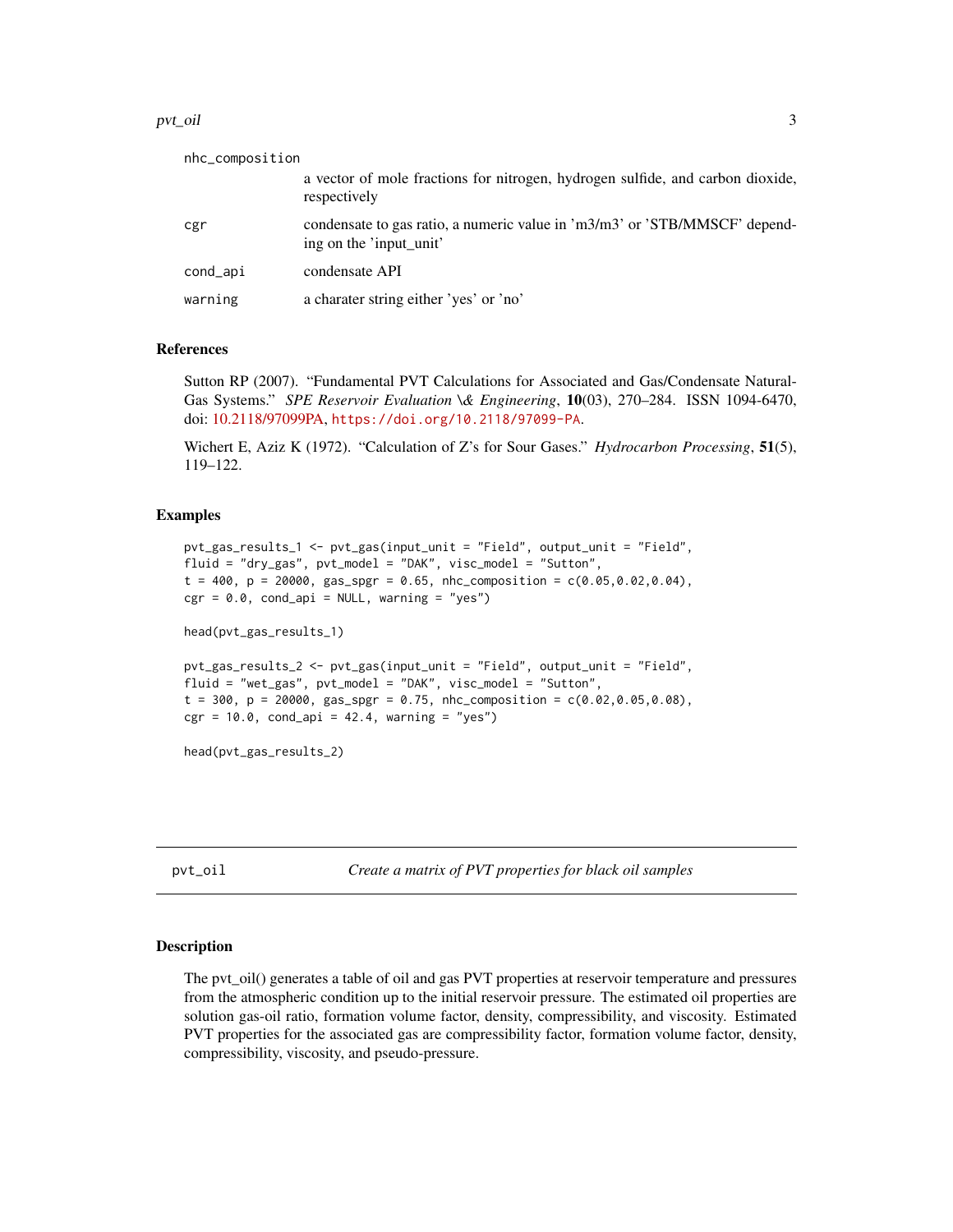#### <span id="page-2-0"></span>pvt\_oil 3

| nhc_composition |                                                                                                       |
|-----------------|-------------------------------------------------------------------------------------------------------|
|                 | a vector of mole fractions for nitrogen, hydrogen sulfide, and carbon dioxide,<br>respectively        |
| cgr             | condensate to gas ratio, a numeric value in 'm3/m3' or 'STB/MMSCF' depend-<br>ing on the 'input unit' |
| cond_api        | condensate API                                                                                        |
| warning         | a charater string either 'yes' or 'no'                                                                |

#### References

Sutton RP (2007). "Fundamental PVT Calculations for Associated and Gas/Condensate Natural-Gas Systems." *SPE Reservoir Evaluation \& Engineering*, 10(03), 270–284. ISSN 1094-6470, doi: [10.2118/97099PA,](https://doi.org/10.2118/97099-PA) <https://doi.org/10.2118/97099-PA>.

Wichert E, Aziz K (1972). "Calculation of Z's for Sour Gases." *Hydrocarbon Processing*, 51(5), 119–122.

#### Examples

```
pvt_gas_results_1 <- pvt_gas(input_unit = "Field", output_unit = "Field",
fluid = "dry_gas", pvt_model = "DAK", visc_model = "Sutton",
t = 400, p = 20000, gas\_spgr = 0.65, nhc_composition = c(0.05, 0.02, 0.04),
cgr = 0.0, cond_api = NULL, warning = "yes")
head(pvt_gas_results_1)
pvt_gas_results_2 <- pvt_gas(input_unit = "Field", output_unit = "Field",
fluid = "wet_gas", pvt_model = "DAK", visc_model = "Sutton",
t = 300, p = 20000, gas\_spgr = 0.75, nhc_composition = c(0.02, 0.05, 0.08),
cgr = 10.0, cond_{api} = 42.4, warning = "yes")
head(pvt_gas_results_2)
```
pvt\_oil *Create a matrix of PVT properties for black oil samples*

#### Description

The pvt\_oil() generates a table of oil and gas PVT properties at reservoir temperature and pressures from the atmospheric condition up to the initial reservoir pressure. The estimated oil properties are solution gas-oil ratio, formation volume factor, density, compressibility, and viscosity. Estimated PVT properties for the associated gas are compressibility factor, formation volume factor, density, compressibility, viscosity, and pseudo-pressure.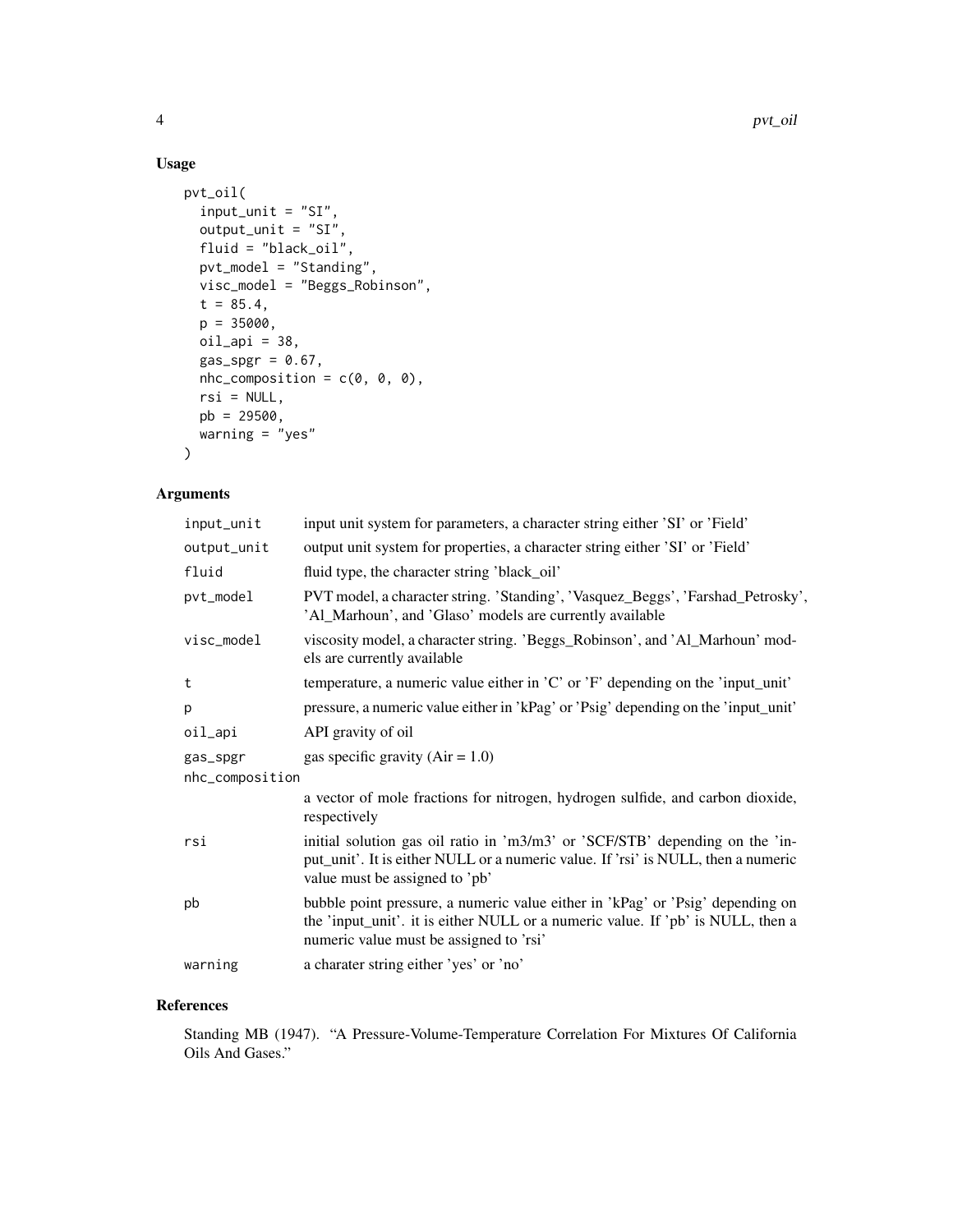#### Usage

```
pvt_oil(
  input_unit = "SI",
  output_unit = "SI",
  fluid = "black_oil",
  pvt_model = "Standing",
  visc_model = "Beggs_Robinson",
  t = 85.4,p = 35000,oil<sub>-api</sub> = 38,
  gas_spgr = 0.67,
  nhc_{\text{composition}} = c(0, 0, 0),rsi = NULL,pb = 29500,
  warning = "yes"
)
```
#### Arguments

| input_unit      | input unit system for parameters, a character string either 'SI' or 'Field'                                                                                                                                  |
|-----------------|--------------------------------------------------------------------------------------------------------------------------------------------------------------------------------------------------------------|
| output_unit     | output unit system for properties, a character string either 'SI' or 'Field'                                                                                                                                 |
| fluid           | fluid type, the character string 'black_oil'                                                                                                                                                                 |
| pvt_model       | PVT model, a character string. 'Standing', 'Vasquez_Beggs', 'Farshad_Petrosky',<br>'Al_Marhoun', and 'Glaso' models are currently available                                                                  |
| visc_model      | viscosity model, a character string. 'Beggs_Robinson', and 'Al_Marhoun' mod-<br>els are currently available                                                                                                  |
| t               | temperature, a numeric value either in $^{\prime}$ C' or $^{\prime}$ F' depending on the 'input_unit'                                                                                                        |
| p               | pressure, a numeric value either in 'kPag' or 'Psig' depending on the 'input_unit'                                                                                                                           |
| oil_api         | API gravity of oil                                                                                                                                                                                           |
| gas_spgr        | gas specific gravity $(Air = 1.0)$                                                                                                                                                                           |
| nhc_composition |                                                                                                                                                                                                              |
|                 | a vector of mole fractions for nitrogen, hydrogen sulfide, and carbon dioxide,<br>respectively                                                                                                               |
| rsi             | initial solution gas oil ratio in 'm3/m3' or 'SCF/STB' depending on the 'in-<br>put_unit'. It is either NULL or a numeric value. If 'rsi' is NULL, then a numeric<br>value must be assigned to 'pb'          |
| pb              | bubble point pressure, a numeric value either in 'kPag' or 'Psig' depending on<br>the 'input_unit'. it is either NULL or a numeric value. If 'pb' is NULL, then a<br>numeric value must be assigned to 'rsi' |
| warning         | a charater string either 'yes' or 'no'                                                                                                                                                                       |

#### References

Standing MB (1947). "A Pressure-Volume-Temperature Correlation For Mixtures Of California Oils And Gases."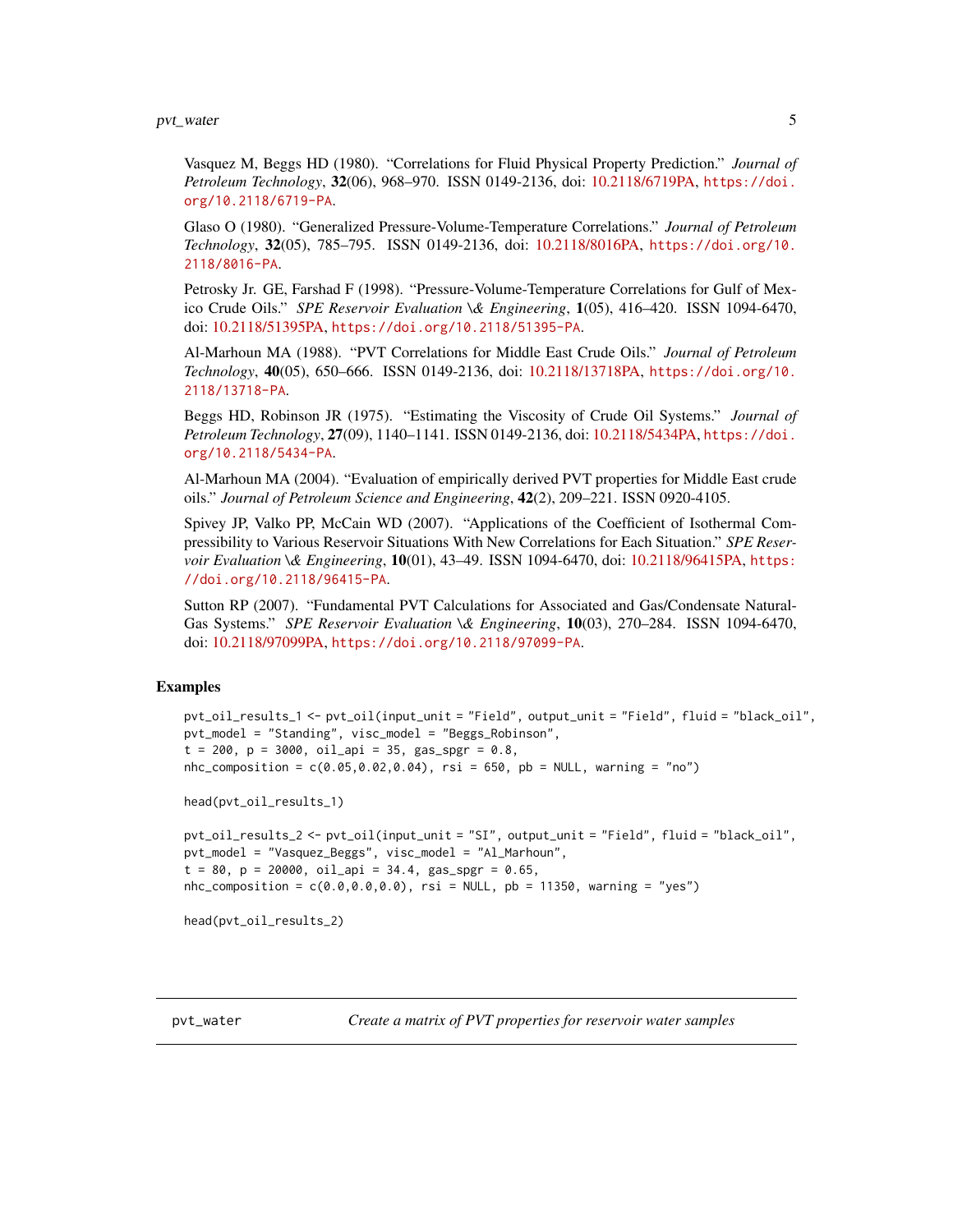<span id="page-4-0"></span>pvt\_water 5

Vasquez M, Beggs HD (1980). "Correlations for Fluid Physical Property Prediction." *Journal of Petroleum Technology*, 32(06), 968–970. ISSN 0149-2136, doi: [10.2118/6719PA,](https://doi.org/10.2118/6719-PA) [https://doi.](https://doi.org/10.2118/6719-PA) [org/10.2118/6719-PA](https://doi.org/10.2118/6719-PA).

Glaso O (1980). "Generalized Pressure-Volume-Temperature Correlations." *Journal of Petroleum Technology*, 32(05), 785–795. ISSN 0149-2136, doi: [10.2118/8016PA,](https://doi.org/10.2118/8016-PA) [https://doi.org/10.](https://doi.org/10.2118/8016-PA) [2118/8016-PA](https://doi.org/10.2118/8016-PA).

Petrosky Jr. GE, Farshad F (1998). "Pressure-Volume-Temperature Correlations for Gulf of Mexico Crude Oils." *SPE Reservoir Evaluation \& Engineering*, 1(05), 416–420. ISSN 1094-6470, doi: [10.2118/51395PA,](https://doi.org/10.2118/51395-PA) <https://doi.org/10.2118/51395-PA>.

Al-Marhoun MA (1988). "PVT Correlations for Middle East Crude Oils." *Journal of Petroleum Technology*, 40(05), 650–666. ISSN 0149-2136, doi: [10.2118/13718PA,](https://doi.org/10.2118/13718-PA) [https://doi.org/10.](https://doi.org/10.2118/13718-PA) [2118/13718-PA](https://doi.org/10.2118/13718-PA).

Beggs HD, Robinson JR (1975). "Estimating the Viscosity of Crude Oil Systems." *Journal of Petroleum Technology*, 27(09), 1140–1141. ISSN 0149-2136, doi: [10.2118/5434PA,](https://doi.org/10.2118/5434-PA) [https://doi.](https://doi.org/10.2118/5434-PA) [org/10.2118/5434-PA](https://doi.org/10.2118/5434-PA).

Al-Marhoun MA (2004). "Evaluation of empirically derived PVT properties for Middle East crude oils." *Journal of Petroleum Science and Engineering*, 42(2), 209–221. ISSN 0920-4105.

Spivey JP, Valko PP, McCain WD (2007). "Applications of the Coefficient of Isothermal Compressibility to Various Reservoir Situations With New Correlations for Each Situation." *SPE Reservoir Evaluation \& Engineering*, 10(01), 43–49. ISSN 1094-6470, doi: [10.2118/96415PA,](https://doi.org/10.2118/96415-PA) [https:](https://doi.org/10.2118/96415-PA) [//doi.org/10.2118/96415-PA](https://doi.org/10.2118/96415-PA).

Sutton RP (2007). "Fundamental PVT Calculations for Associated and Gas/Condensate Natural-Gas Systems." *SPE Reservoir Evaluation \& Engineering*, 10(03), 270–284. ISSN 1094-6470, doi: [10.2118/97099PA,](https://doi.org/10.2118/97099-PA) <https://doi.org/10.2118/97099-PA>.

#### Examples

```
pvt_oil_results_1 <- pvt_oil(input_unit = "Field", output_unit = "Field", fluid = "black_oil",
pvt_model = "Standing", visc_model = "Beggs_Robinson",
t = 200, p = 3000, oil\_api = 35, gas\_spgr = 0.8,
nhc\_composition = c(0.05, 0.02, 0.04), rsi = 650, pb = NULL, warning = "no")
head(pvt_oil_results_1)
pvt_oil_results_2 <- pvt_oil(input_unit = "SI", output_unit = "Field", fluid = "black_oil",
pvt_model = "Vasquez_Beggs", visc_model = "Al_Marhoun",
t = 80, p = 20000, oil\_api = 34.4, gas\_spgr = 0.65,
nhc_composition = c(0.0,0.0,0.0), rsi = NULL, pb = 11350, warning = "yes")
head(pvt_oil_results_2)
```
pvt\_water *Create a matrix of PVT properties for reservoir water samples*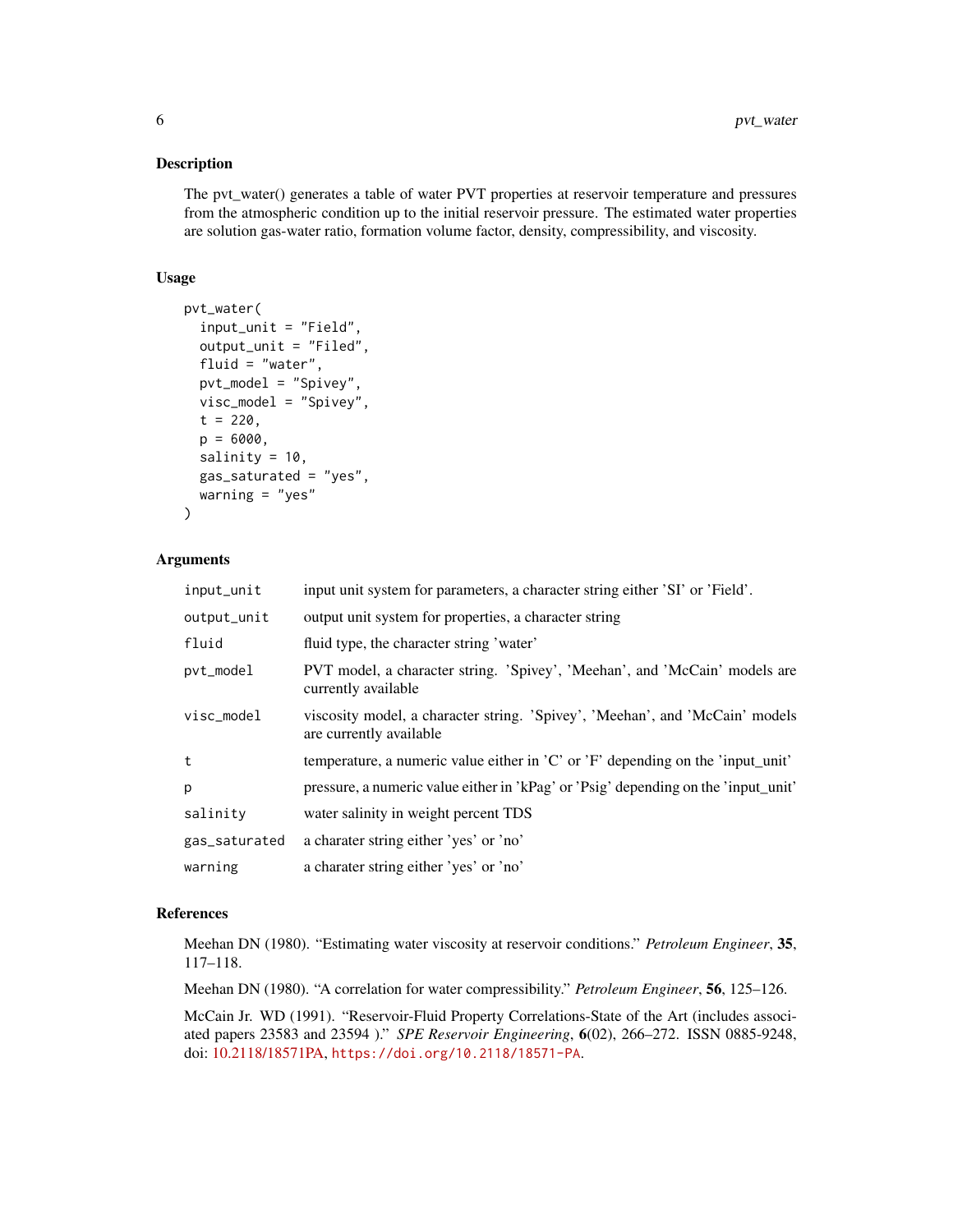#### Description

The pvt\_water() generates a table of water PVT properties at reservoir temperature and pressures from the atmospheric condition up to the initial reservoir pressure. The estimated water properties are solution gas-water ratio, formation volume factor, density, compressibility, and viscosity.

#### Usage

```
pvt_water(
  input_unit = "Field",
  output_unit = "Filed",
  fluid = "water",
 pvt_model = "Spivey",
  visc_model = "Spivey",
  t = 220,
  p = 6000.
  salinity = 10,
  gas_saturated = "yes",
  warning = "yes"
\lambda
```
#### Arguments

| input_unit    | input unit system for parameters, a character string either 'SI' or 'Field'.                            |
|---------------|---------------------------------------------------------------------------------------------------------|
| output_unit   | output unit system for properties, a character string                                                   |
| fluid         | fluid type, the character string 'water'                                                                |
| pvt_model     | PVT model, a character string. 'Spivey', 'Meehan', and 'McCain' models are<br>currently available       |
| visc_model    | viscosity model, a character string. 'Spivey', 'Meehan', and 'McCain' models<br>are currently available |
| t             | temperature, a numeric value either in $^{\prime}$ C' or $^{\prime}$ F' depending on the 'input_unit'   |
| p             | pressure, a numeric value either in 'kPag' or 'Psig' depending on the 'input_unit'                      |
| salinity      | water salinity in weight percent TDS                                                                    |
| gas_saturated | a charater string either 'yes' or 'no'                                                                  |
| warning       | a charater string either 'yes' or 'no'                                                                  |

#### References

Meehan DN (1980). "Estimating water viscosity at reservoir conditions." *Petroleum Engineer*, 35, 117–118.

Meehan DN (1980). "A correlation for water compressibility." *Petroleum Engineer*, 56, 125–126.

McCain Jr. WD (1991). "Reservoir-Fluid Property Correlations-State of the Art (includes associated papers 23583 and 23594 )." *SPE Reservoir Engineering*, 6(02), 266–272. ISSN 0885-9248, doi: [10.2118/18571PA,](https://doi.org/10.2118/18571-PA) <https://doi.org/10.2118/18571-PA>.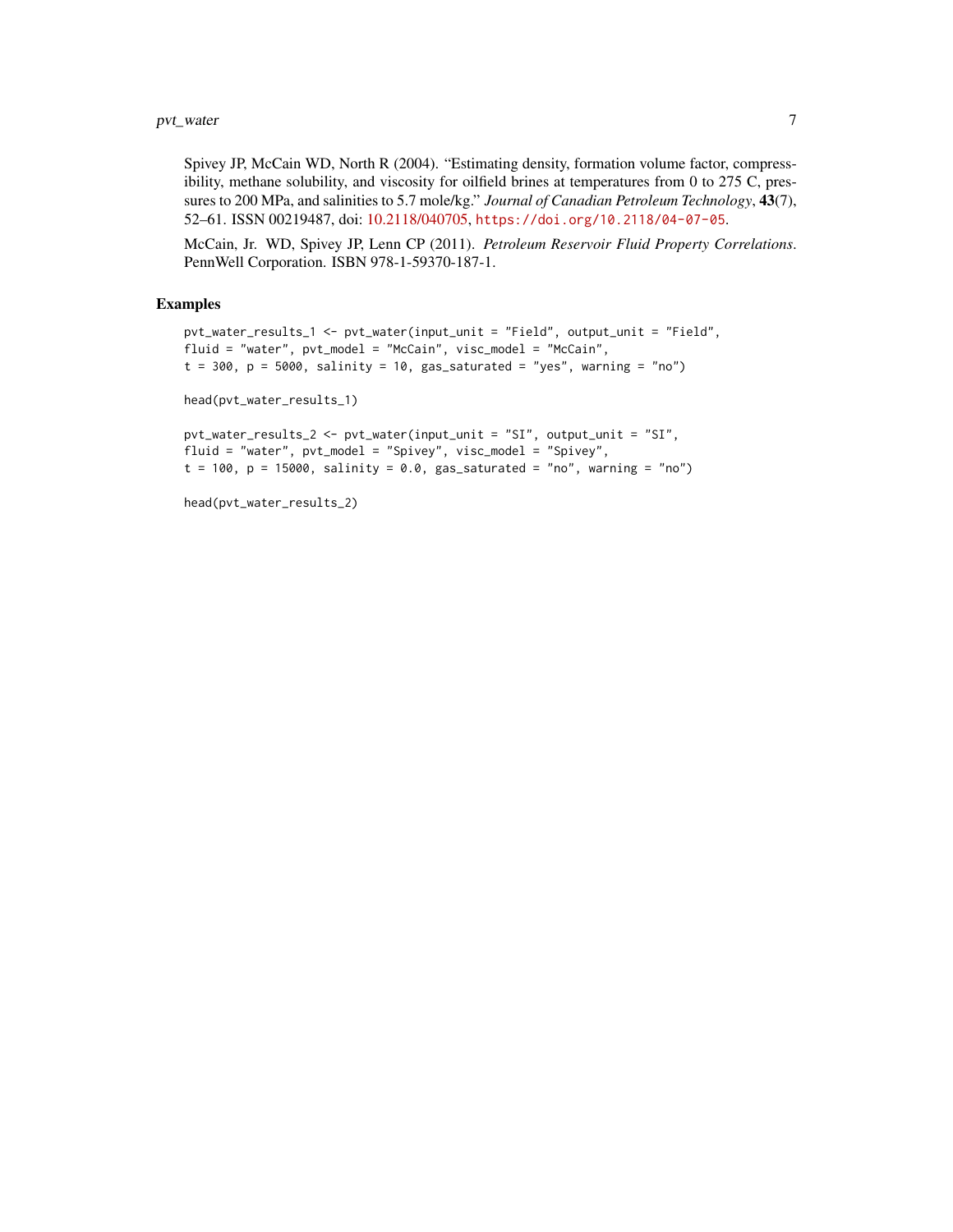#### pvt\_water 7

Spivey JP, McCain WD, North R (2004). "Estimating density, formation volume factor, compressibility, methane solubility, and viscosity for oilfield brines at temperatures from 0 to 275 C, pressures to 200 MPa, and salinities to 5.7 mole/kg." *Journal of Canadian Petroleum Technology*, 43(7), 52–61. ISSN 00219487, doi: [10.2118/040705,](https://doi.org/10.2118/04-07-05) <https://doi.org/10.2118/04-07-05>.

McCain, Jr. WD, Spivey JP, Lenn CP (2011). *Petroleum Reservoir Fluid Property Correlations*. PennWell Corporation. ISBN 978-1-59370-187-1.

#### Examples

```
pvt_water_results_1 <- pvt_water(input_unit = "Field", output_unit = "Field",
fluid = "water", pvt_model = "McCain", visc_model = "McCain",
t = 300, p = 5000, salinity = 10, gas_saturated = "yes", warning = "no")
head(pvt_water_results_1)
pvt_water_results_2 <- pvt_water(input_unit = "SI", output_unit = "SI",
fluid = "water", pvt_model = "Spivey", visc_model = "Spivey",
t = 100, p = 15000, salinity = 0.0, gas_saturated = "no", warning = "no")
```

```
head(pvt_water_results_2)
```